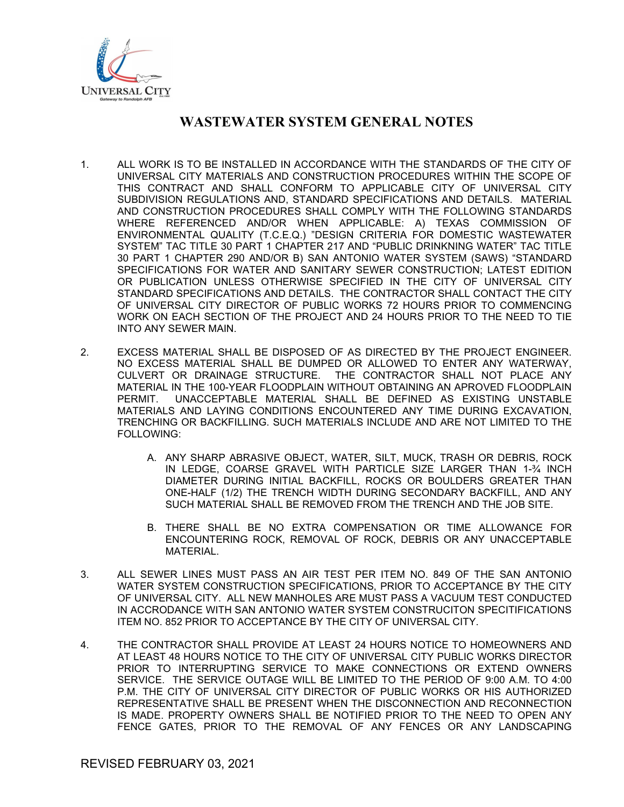

- 1. ALL WORK IS TO BE INSTALLED IN ACCORDANCE WITH THE STANDARDS OF THE CITY OF UNIVERSAL CITY MATERIALS AND CONSTRUCTION PROCEDURES WITHIN THE SCOPE OF THIS CONTRACT AND SHALL CONFORM TO APPLICABLE CITY OF UNIVERSAL CITY SUBDIVISION REGULATIONS AND, STANDARD SPECIFICATIONS AND DETAILS. MATERIAL AND CONSTRUCTION PROCEDURES SHALL COMPLY WITH THE FOLLOWING STANDARDS WHERE REFERENCED AND/OR WHEN APPLICABLE: A) TEXAS COMMISSION OF ENVIRONMENTAL QUALITY (T.C.E.Q.) "DESIGN CRITERIA FOR DOMESTIC WASTEWATER SYSTEM" TAC TITLE 30 PART 1 CHAPTER 217 AND "PUBLIC DRINKNING WATER" TAC TITLE 30 PART 1 CHAPTER 290 AND/OR B) SAN ANTONIO WATER SYSTEM (SAWS) "STANDARD SPECIFICATIONS FOR WATER AND SANITARY SEWER CONSTRUCTION; LATEST EDITION OR PUBLICATION UNLESS OTHERWISE SPECIFIED IN THE CITY OF UNIVERSAL CITY STANDARD SPECIFICATIONS AND DETAILS. THE CONTRACTOR SHALL CONTACT THE CITY OF UNIVERSAL CITY DIRECTOR OF PUBLIC WORKS 72 HOURS PRIOR TO COMMENCING WORK ON EACH SECTION OF THE PROJECT AND 24 HOURS PRIOR TO THE NEED TO TIE INTO ANY SEWER MAIN.
- 2. EXCESS MATERIAL SHALL BE DISPOSED OF AS DIRECTED BY THE PROJECT ENGINEER. NO EXCESS MATERIAL SHALL BE DUMPED OR ALLOWED TO ENTER ANY WATERWAY, CULVERT OR DRAINAGE STRUCTURE. THE CONTRACTOR SHALL NOT PLACE ANY MATERIAL IN THE 100-YEAR FLOODPLAIN WITHOUT OBTAINING AN APROVED FLOODPLAIN PERMIT. UNACCEPTABLE MATERIAL SHALL BE DEFINED AS EXISTING UNSTABLE MATERIALS AND LAYING CONDITIONS ENCOUNTERED ANY TIME DURING EXCAVATION, TRENCHING OR BACKFILLING. SUCH MATERIALS INCLUDE AND ARE NOT LIMITED TO THE FOLLOWING:
	- A. ANY SHARP ABRASIVE OBJECT, WATER, SILT, MUCK, TRASH OR DEBRIS, ROCK IN LEDGE, COARSE GRAVEL WITH PARTICLE SIZE LARGER THAN 1-¾ INCH DIAMETER DURING INITIAL BACKFILL, ROCKS OR BOULDERS GREATER THAN ONE-HALF (1/2) THE TRENCH WIDTH DURING SECONDARY BACKFILL, AND ANY SUCH MATERIAL SHALL BE REMOVED FROM THE TRENCH AND THE JOB SITE.
	- B. THERE SHALL BE NO EXTRA COMPENSATION OR TIME ALLOWANCE FOR ENCOUNTERING ROCK, REMOVAL OF ROCK, DEBRIS OR ANY UNACCEPTABLE MATERIAL.
- 3. ALL SEWER LINES MUST PASS AN AIR TEST PER ITEM NO. 849 OF THE SAN ANTONIO WATER SYSTEM CONSTRUCTION SPECIFICATIONS, PRIOR TO ACCEPTANCE BY THE CITY OF UNIVERSAL CITY. ALL NEW MANHOLES ARE MUST PASS A VACUUM TEST CONDUCTED IN ACCRODANCE WITH SAN ANTONIO WATER SYSTEM CONSTRUCITON SPECITIFICATIONS ITEM NO. 852 PRIOR TO ACCEPTANCE BY THE CITY OF UNIVERSAL CITY.
- 4. THE CONTRACTOR SHALL PROVIDE AT LEAST 24 HOURS NOTICE TO HOMEOWNERS AND AT LEAST 48 HOURS NOTICE TO THE CITY OF UNIVERSAL CITY PUBLIC WORKS DIRECTOR PRIOR TO INTERRUPTING SERVICE TO MAKE CONNECTIONS OR EXTEND OWNERS SERVICE. THE SERVICE OUTAGE WILL BE LIMITED TO THE PERIOD OF 9:00 A.M. TO 4:00 P.M. THE CITY OF UNIVERSAL CITY DIRECTOR OF PUBLIC WORKS OR HIS AUTHORIZED REPRESENTATIVE SHALL BE PRESENT WHEN THE DISCONNECTION AND RECONNECTION IS MADE. PROPERTY OWNERS SHALL BE NOTIFIED PRIOR TO THE NEED TO OPEN ANY FENCE GATES, PRIOR TO THE REMOVAL OF ANY FENCES OR ANY LANDSCAPING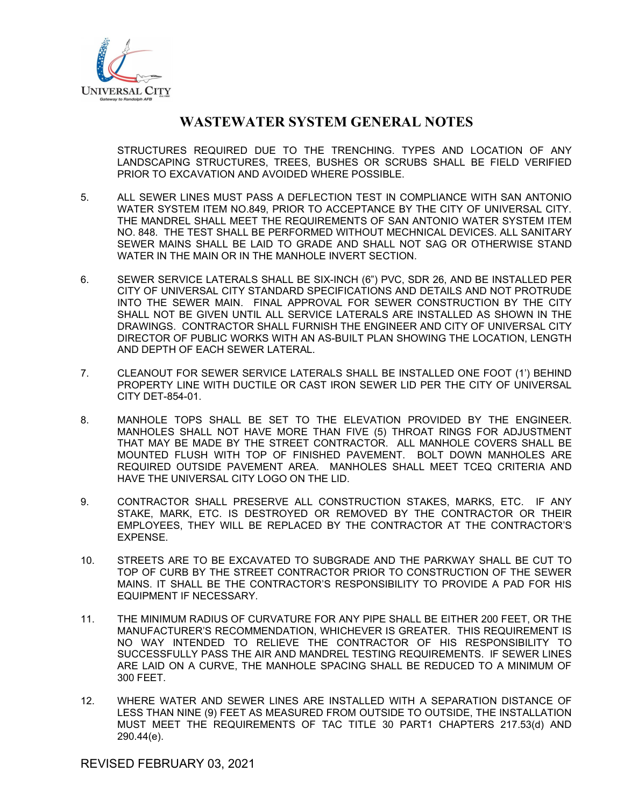

STRUCTURES REQUIRED DUE TO THE TRENCHING. TYPES AND LOCATION OF ANY LANDSCAPING STRUCTURES, TREES, BUSHES OR SCRUBS SHALL BE FIELD VERIFIED PRIOR TO EXCAVATION AND AVOIDED WHERE POSSIBLE.

- 5. ALL SEWER LINES MUST PASS A DEFLECTION TEST IN COMPLIANCE WITH SAN ANTONIO WATER SYSTEM ITEM NO.849, PRIOR TO ACCEPTANCE BY THE CITY OF UNIVERSAL CITY. THE MANDREL SHALL MEET THE REQUIREMENTS OF SAN ANTONIO WATER SYSTEM ITEM NO. 848. THE TEST SHALL BE PERFORMED WITHOUT MECHNICAL DEVICES. ALL SANITARY SEWER MAINS SHALL BE LAID TO GRADE AND SHALL NOT SAG OR OTHERWISE STAND WATER IN THE MAIN OR IN THE MANHOLE INVERT SECTION.
- 6. SEWER SERVICE LATERALS SHALL BE SIX-INCH (6") PVC, SDR 26, AND BE INSTALLED PER CITY OF UNIVERSAL CITY STANDARD SPECIFICATIONS AND DETAILS AND NOT PROTRUDE INTO THE SEWER MAIN. FINAL APPROVAL FOR SEWER CONSTRUCTION BY THE CITY SHALL NOT BE GIVEN UNTIL ALL SERVICE LATERALS ARE INSTALLED AS SHOWN IN THE DRAWINGS. CONTRACTOR SHALL FURNISH THE ENGINEER AND CITY OF UNIVERSAL CITY DIRECTOR OF PUBLIC WORKS WITH AN AS-BUILT PLAN SHOWING THE LOCATION, LENGTH AND DEPTH OF EACH SEWER LATERAL.
- 7. CLEANOUT FOR SEWER SERVICE LATERALS SHALL BE INSTALLED ONE FOOT (1') BEHIND PROPERTY LINE WITH DUCTILE OR CAST IRON SEWER LID PER THE CITY OF UNIVERSAL CITY DET-854-01.
- 8. MANHOLE TOPS SHALL BE SET TO THE ELEVATION PROVIDED BY THE ENGINEER. MANHOLES SHALL NOT HAVE MORE THAN FIVE (5) THROAT RINGS FOR ADJUSTMENT THAT MAY BE MADE BY THE STREET CONTRACTOR. ALL MANHOLE COVERS SHALL BE MOUNTED FLUSH WITH TOP OF FINISHED PAVEMENT. BOLT DOWN MANHOLES ARE REQUIRED OUTSIDE PAVEMENT AREA. MANHOLES SHALL MEET TCEQ CRITERIA AND HAVE THE UNIVERSAL CITY LOGO ON THE LID.
- 9. CONTRACTOR SHALL PRESERVE ALL CONSTRUCTION STAKES, MARKS, ETC. IF ANY STAKE, MARK, ETC. IS DESTROYED OR REMOVED BY THE CONTRACTOR OR THEIR EMPLOYEES, THEY WILL BE REPLACED BY THE CONTRACTOR AT THE CONTRACTOR'S EXPENSE.
- 10. STREETS ARE TO BE EXCAVATED TO SUBGRADE AND THE PARKWAY SHALL BE CUT TO TOP OF CURB BY THE STREET CONTRACTOR PRIOR TO CONSTRUCTION OF THE SEWER MAINS. IT SHALL BE THE CONTRACTOR'S RESPONSIBILITY TO PROVIDE A PAD FOR HIS EQUIPMENT IF NECESSARY.
- 11. THE MINIMUM RADIUS OF CURVATURE FOR ANY PIPE SHALL BE EITHER 200 FEET, OR THE MANUFACTURER'S RECOMMENDATION, WHICHEVER IS GREATER. THIS REQUIREMENT IS NO WAY INTENDED TO RELIEVE THE CONTRACTOR OF HIS RESPONSIBILITY TO SUCCESSFULLY PASS THE AIR AND MANDREL TESTING REQUIREMENTS. IF SEWER LINES ARE LAID ON A CURVE, THE MANHOLE SPACING SHALL BE REDUCED TO A MINIMUM OF 300 FEET.
- 12. WHERE WATER AND SEWER LINES ARE INSTALLED WITH A SEPARATION DISTANCE OF LESS THAN NINE (9) FEET AS MEASURED FROM OUTSIDE TO OUTSIDE, THE INSTALLATION MUST MEET THE REQUIREMENTS OF TAC TITLE 30 PART1 CHAPTERS 217.53(d) AND 290.44(e).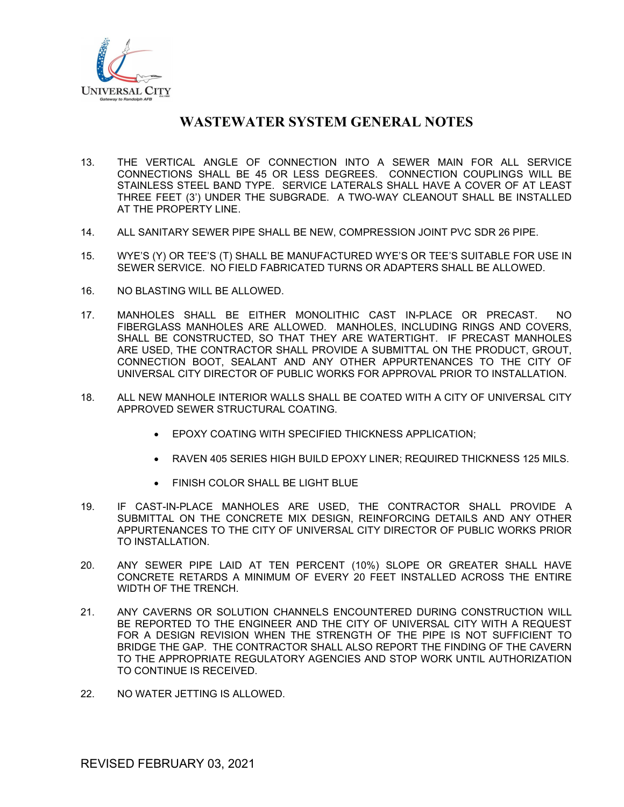

- 13. THE VERTICAL ANGLE OF CONNECTION INTO A SEWER MAIN FOR ALL SERVICE CONNECTIONS SHALL BE 45 OR LESS DEGREES. CONNECTION COUPLINGS WILL BE STAINLESS STEEL BAND TYPE. SERVICE LATERALS SHALL HAVE A COVER OF AT LEAST THREE FEET (3') UNDER THE SUBGRADE. A TWO-WAY CLEANOUT SHALL BE INSTALLED AT THE PROPERTY LINE.
- 14. ALL SANITARY SEWER PIPE SHALL BE NEW, COMPRESSION JOINT PVC SDR 26 PIPE.
- 15. WYE'S (Y) OR TEE'S (T) SHALL BE MANUFACTURED WYE'S OR TEE'S SUITABLE FOR USE IN SEWER SERVICE. NO FIELD FABRICATED TURNS OR ADAPTERS SHALL BE ALLOWED.
- 16. NO BLASTING WILL BE ALLOWED.
- 17. MANHOLES SHALL BE EITHER MONOLITHIC CAST IN-PLACE OR PRECAST. NO FIBERGLASS MANHOLES ARE ALLOWED. MANHOLES, INCLUDING RINGS AND COVERS, SHALL BE CONSTRUCTED, SO THAT THEY ARE WATERTIGHT. IF PRECAST MANHOLES ARE USED, THE CONTRACTOR SHALL PROVIDE A SUBMITTAL ON THE PRODUCT, GROUT, CONNECTION BOOT, SEALANT AND ANY OTHER APPURTENANCES TO THE CITY OF UNIVERSAL CITY DIRECTOR OF PUBLIC WORKS FOR APPROVAL PRIOR TO INSTALLATION.
- 18. ALL NEW MANHOLE INTERIOR WALLS SHALL BE COATED WITH A CITY OF UNIVERSAL CITY APPROVED SEWER STRUCTURAL COATING.
	- **EPOXY COATING WITH SPECIFIED THICKNESS APPLICATION:**
	- RAVEN 405 SERIES HIGH BUILD EPOXY LINER; REQUIRED THICKNESS 125 MILS.
	- FINISH COLOR SHALL BE LIGHT BLUE
- 19. IF CAST-IN-PLACE MANHOLES ARE USED, THE CONTRACTOR SHALL PROVIDE A SUBMITTAL ON THE CONCRETE MIX DESIGN, REINFORCING DETAILS AND ANY OTHER APPURTENANCES TO THE CITY OF UNIVERSAL CITY DIRECTOR OF PUBLIC WORKS PRIOR TO INSTALLATION.
- 20. ANY SEWER PIPE LAID AT TEN PERCENT (10%) SLOPE OR GREATER SHALL HAVE CONCRETE RETARDS A MINIMUM OF EVERY 20 FEET INSTALLED ACROSS THE ENTIRE WIDTH OF THE TRENCH.
- 21. ANY CAVERNS OR SOLUTION CHANNELS ENCOUNTERED DURING CONSTRUCTION WILL BE REPORTED TO THE ENGINEER AND THE CITY OF UNIVERSAL CITY WITH A REQUEST FOR A DESIGN REVISION WHEN THE STRENGTH OF THE PIPE IS NOT SUFFICIENT TO BRIDGE THE GAP. THE CONTRACTOR SHALL ALSO REPORT THE FINDING OF THE CAVERN TO THE APPROPRIATE REGULATORY AGENCIES AND STOP WORK UNTIL AUTHORIZATION TO CONTINUE IS RECEIVED.
- 22. NO WATER JETTING IS ALLOWED.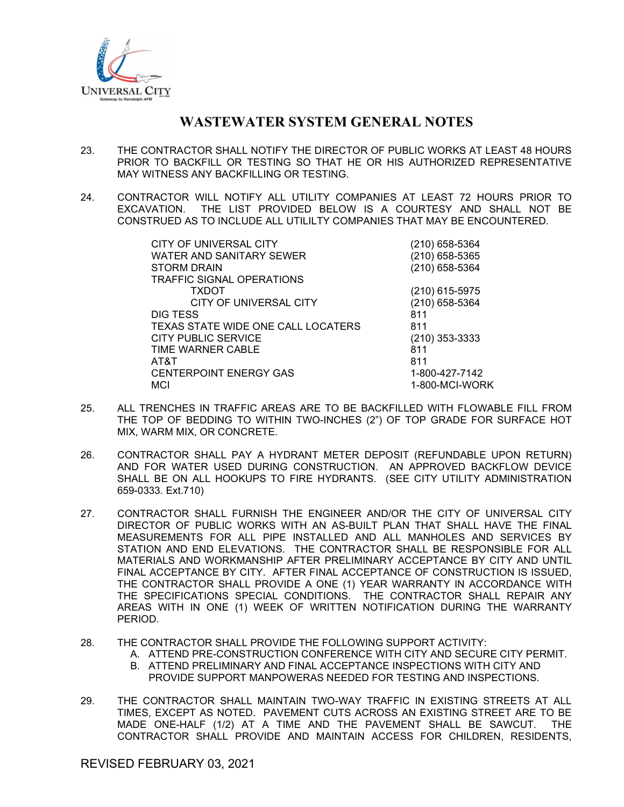

- 23. THE CONTRACTOR SHALL NOTIFY THE DIRECTOR OF PUBLIC WORKS AT LEAST 48 HOURS PRIOR TO BACKFILL OR TESTING SO THAT HE OR HIS AUTHORIZED REPRESENTATIVE MAY WITNESS ANY BACKFILLING OR TESTING.
- 24. CONTRACTOR WILL NOTIFY ALL UTILITY COMPANIES AT LEAST 72 HOURS PRIOR TO EXCAVATION. THE LIST PROVIDED BELOW IS A COURTESY AND SHALL NOT BE CONSTRUED AS TO INCLUDE ALL UTILILTY COMPANIES THAT MAY BE ENCOUNTERED.

| CITY OF UNIVERSAL CITY             | (210) 658-5364 |
|------------------------------------|----------------|
| <b>WATER AND SANITARY SEWER</b>    | (210) 658-5365 |
| <b>STORM DRAIN</b>                 | (210) 658-5364 |
| <b>TRAFFIC SIGNAL OPERATIONS</b>   |                |
| <b>TXDOT</b>                       | (210) 615-5975 |
| CITY OF UNIVERSAL CITY             | (210) 658-5364 |
| DIG TESS                           | 811            |
| TEXAS STATE WIDE ONE CALL LOCATERS | 811            |
| <b>CITY PUBLIC SERVICE</b>         | (210) 353-3333 |
| TIME WARNER CABLE                  | 811            |
| AT&T                               | 811            |
| <b>CENTERPOINT ENERGY GAS</b>      | 1-800-427-7142 |
| MCI                                | 1-800-MCI-WORK |
|                                    |                |

- 25. ALL TRENCHES IN TRAFFIC AREAS ARE TO BE BACKFILLED WITH FLOWABLE FILL FROM THE TOP OF BEDDING TO WITHIN TWO-INCHES (2") OF TOP GRADE FOR SURFACE HOT MIX, WARM MIX, OR CONCRETE.
- 26. CONTRACTOR SHALL PAY A HYDRANT METER DEPOSIT (REFUNDABLE UPON RETURN) AND FOR WATER USED DURING CONSTRUCTION. AN APPROVED BACKFLOW DEVICE SHALL BE ON ALL HOOKUPS TO FIRE HYDRANTS. (SEE CITY UTILITY ADMINISTRATION 659-0333. Ext.710)
- 27. CONTRACTOR SHALL FURNISH THE ENGINEER AND/OR THE CITY OF UNIVERSAL CITY DIRECTOR OF PUBLIC WORKS WITH AN AS-BUILT PLAN THAT SHALL HAVE THE FINAL MEASUREMENTS FOR ALL PIPE INSTALLED AND ALL MANHOLES AND SERVICES BY STATION AND END ELEVATIONS. THE CONTRACTOR SHALL BE RESPONSIBLE FOR ALL MATERIALS AND WORKMANSHIP AFTER PRELIMINARY ACCEPTANCE BY CITY AND UNTIL FINAL ACCEPTANCE BY CITY. AFTER FINAL ACCEPTANCE OF CONSTRUCTION IS ISSUED, THE CONTRACTOR SHALL PROVIDE A ONE (1) YEAR WARRANTY IN ACCORDANCE WITH THE SPECIFICATIONS SPECIAL CONDITIONS. THE CONTRACTOR SHALL REPAIR ANY AREAS WITH IN ONE (1) WEEK OF WRITTEN NOTIFICATION DURING THE WARRANTY PERIOD.
- 28. THE CONTRACTOR SHALL PROVIDE THE FOLLOWING SUPPORT ACTIVITY:
	- A. ATTEND PRE-CONSTRUCTION CONFERENCE WITH CITY AND SECURE CITY PERMIT.
	- B. ATTEND PRELIMINARY AND FINAL ACCEPTANCE INSPECTIONS WITH CITY AND
		- PROVIDE SUPPORT MANPOWERAS NEEDED FOR TESTING AND INSPECTIONS.
- 29. THE CONTRACTOR SHALL MAINTAIN TWO-WAY TRAFFIC IN EXISTING STREETS AT ALL TIMES, EXCEPT AS NOTED. PAVEMENT CUTS ACROSS AN EXISTING STREET ARE TO BE MADE ONE-HALF (1/2) AT A TIME AND THE PAVEMENT SHALL BE SAWCUT. THE CONTRACTOR SHALL PROVIDE AND MAINTAIN ACCESS FOR CHILDREN, RESIDENTS,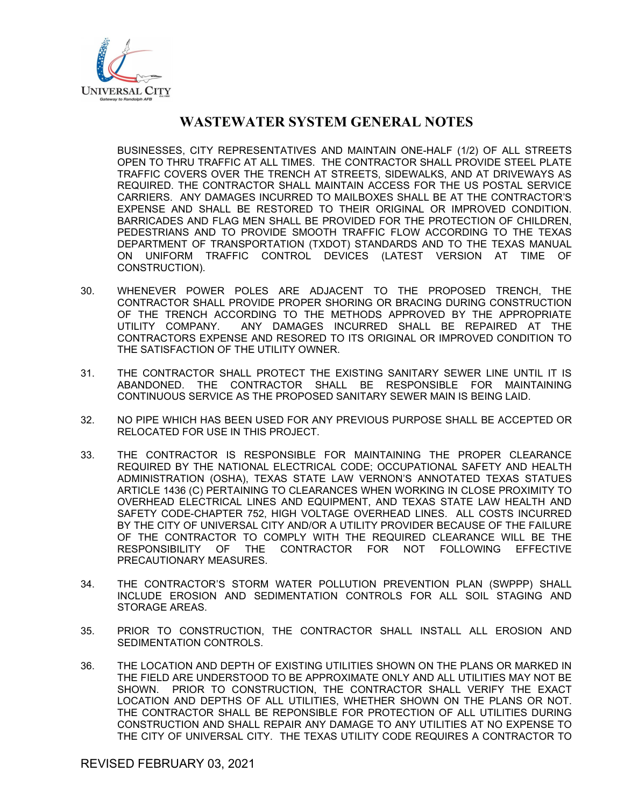

BUSINESSES, CITY REPRESENTATIVES AND MAINTAIN ONE-HALF (1/2) OF ALL STREETS OPEN TO THRU TRAFFIC AT ALL TIMES. THE CONTRACTOR SHALL PROVIDE STEEL PLATE TRAFFIC COVERS OVER THE TRENCH AT STREETS, SIDEWALKS, AND AT DRIVEWAYS AS REQUIRED. THE CONTRACTOR SHALL MAINTAIN ACCESS FOR THE US POSTAL SERVICE CARRIERS. ANY DAMAGES INCURRED TO MAILBOXES SHALL BE AT THE CONTRACTOR'S EXPENSE AND SHALL BE RESTORED TO THEIR ORIGINAL OR IMPROVED CONDITION. BARRICADES AND FLAG MEN SHALL BE PROVIDED FOR THE PROTECTION OF CHILDREN, PEDESTRIANS AND TO PROVIDE SMOOTH TRAFFIC FLOW ACCORDING TO THE TEXAS DEPARTMENT OF TRANSPORTATION (TXDOT) STANDARDS AND TO THE TEXAS MANUAL ON UNIFORM TRAFFIC CONTROL DEVICES (LATEST VERSION AT TIME OF CONSTRUCTION).

- 30. WHENEVER POWER POLES ARE ADJACENT TO THE PROPOSED TRENCH, THE CONTRACTOR SHALL PROVIDE PROPER SHORING OR BRACING DURING CONSTRUCTION OF THE TRENCH ACCORDING TO THE METHODS APPROVED BY THE APPROPRIATE UTILITY COMPANY. ANY DAMAGES INCURRED SHALL BE REPAIRED AT THE CONTRACTORS EXPENSE AND RESORED TO ITS ORIGINAL OR IMPROVED CONDITION TO THE SATISFACTION OF THE UTILITY OWNER.
- 31. THE CONTRACTOR SHALL PROTECT THE EXISTING SANITARY SEWER LINE UNTIL IT IS ABANDONED. THE CONTRACTOR SHALL BE RESPONSIBLE FOR MAINTAINING CONTINUOUS SERVICE AS THE PROPOSED SANITARY SEWER MAIN IS BEING LAID.
- 32. NO PIPE WHICH HAS BEEN USED FOR ANY PREVIOUS PURPOSE SHALL BE ACCEPTED OR RELOCATED FOR USE IN THIS PROJECT.
- 33. THE CONTRACTOR IS RESPONSIBLE FOR MAINTAINING THE PROPER CLEARANCE REQUIRED BY THE NATIONAL ELECTRICAL CODE; OCCUPATIONAL SAFETY AND HEALTH ADMINISTRATION (OSHA), TEXAS STATE LAW VERNON'S ANNOTATED TEXAS STATUES ARTICLE 1436 (C) PERTAINING TO CLEARANCES WHEN WORKING IN CLOSE PROXIMITY TO OVERHEAD ELECTRICAL LINES AND EQUIPMENT, AND TEXAS STATE LAW HEALTH AND SAFETY CODE-CHAPTER 752, HIGH VOLTAGE OVERHEAD LINES. ALL COSTS INCURRED BY THE CITY OF UNIVERSAL CITY AND/OR A UTILITY PROVIDER BECAUSE OF THE FAILURE OF THE CONTRACTOR TO COMPLY WITH THE REQUIRED CLEARANCE WILL BE THE RESPONSIBILITY OF THE CONTRACTOR FOR NOT FOLLOWING EFFECTIVE PRECAUTIONARY MEASURES.
- 34. THE CONTRACTOR'S STORM WATER POLLUTION PREVENTION PLAN (SWPPP) SHALL INCLUDE EROSION AND SEDIMENTATION CONTROLS FOR ALL SOIL STAGING AND STORAGE AREAS.
- 35. PRIOR TO CONSTRUCTION, THE CONTRACTOR SHALL INSTALL ALL EROSION AND SEDIMENTATION CONTROLS.
- 36. THE LOCATION AND DEPTH OF EXISTING UTILITIES SHOWN ON THE PLANS OR MARKED IN THE FIELD ARE UNDERSTOOD TO BE APPROXIMATE ONLY AND ALL UTILITIES MAY NOT BE SHOWN. PRIOR TO CONSTRUCTION, THE CONTRACTOR SHALL VERIFY THE EXACT LOCATION AND DEPTHS OF ALL UTILITIES, WHETHER SHOWN ON THE PLANS OR NOT. THE CONTRACTOR SHALL BE REPONSIBLE FOR PROTECTION OF ALL UTILITIES DURING CONSTRUCTION AND SHALL REPAIR ANY DAMAGE TO ANY UTILITIES AT NO EXPENSE TO THE CITY OF UNIVERSAL CITY. THE TEXAS UTILITY CODE REQUIRES A CONTRACTOR TO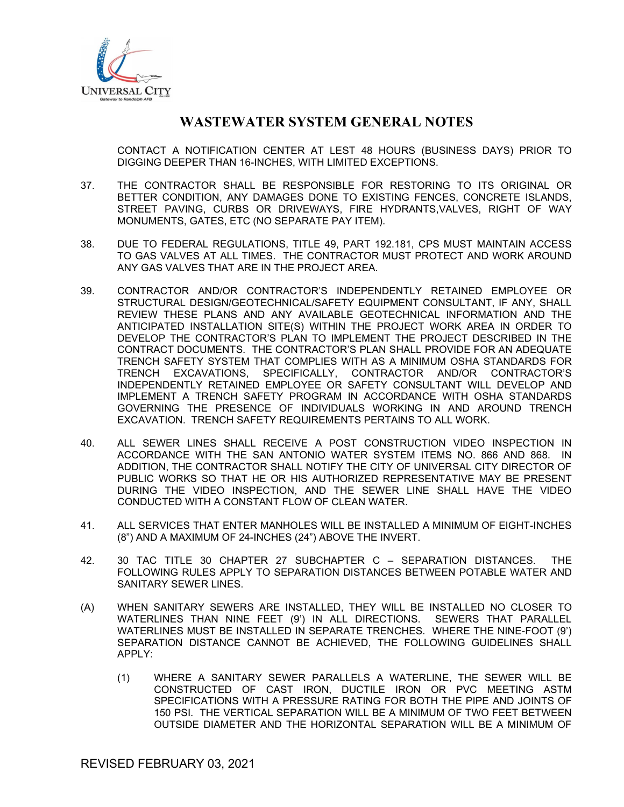

CONTACT A NOTIFICATION CENTER AT LEST 48 HOURS (BUSINESS DAYS) PRIOR TO DIGGING DEEPER THAN 16-INCHES, WITH LIMITED EXCEPTIONS.

- 37. THE CONTRACTOR SHALL BE RESPONSIBLE FOR RESTORING TO ITS ORIGINAL OR BETTER CONDITION, ANY DAMAGES DONE TO EXISTING FENCES, CONCRETE ISLANDS, STREET PAVING, CURBS OR DRIVEWAYS, FIRE HYDRANTS,VALVES, RIGHT OF WAY MONUMENTS, GATES, ETC (NO SEPARATE PAY ITEM).
- 38. DUE TO FEDERAL REGULATIONS, TITLE 49, PART 192.181, CPS MUST MAINTAIN ACCESS TO GAS VALVES AT ALL TIMES. THE CONTRACTOR MUST PROTECT AND WORK AROUND ANY GAS VALVES THAT ARE IN THE PROJECT AREA.
- 39. CONTRACTOR AND/OR CONTRACTOR'S INDEPENDENTLY RETAINED EMPLOYEE OR STRUCTURAL DESIGN/GEOTECHNICAL/SAFETY EQUIPMENT CONSULTANT, IF ANY, SHALL REVIEW THESE PLANS AND ANY AVAILABLE GEOTECHNICAL INFORMATION AND THE ANTICIPATED INSTALLATION SITE(S) WITHIN THE PROJECT WORK AREA IN ORDER TO DEVELOP THE CONTRACTOR'S PLAN TO IMPLEMENT THE PROJECT DESCRIBED IN THE CONTRACT DOCUMENTS. THE CONTRACTOR'S PLAN SHALL PROVIDE FOR AN ADEQUATE TRENCH SAFETY SYSTEM THAT COMPLIES WITH AS A MINIMUM OSHA STANDARDS FOR TRENCH EXCAVATIONS, SPECIFICALLY, CONTRACTOR AND/OR CONTRACTOR'S INDEPENDENTLY RETAINED EMPLOYEE OR SAFETY CONSULTANT WILL DEVELOP AND IMPLEMENT A TRENCH SAFETY PROGRAM IN ACCORDANCE WITH OSHA STANDARDS GOVERNING THE PRESENCE OF INDIVIDUALS WORKING IN AND AROUND TRENCH EXCAVATION. TRENCH SAFETY REQUIREMENTS PERTAINS TO ALL WORK.
- 40. ALL SEWER LINES SHALL RECEIVE A POST CONSTRUCTION VIDEO INSPECTION IN ACCORDANCE WITH THE SAN ANTONIO WATER SYSTEM ITEMS NO. 866 AND 868. IN ADDITION, THE CONTRACTOR SHALL NOTIFY THE CITY OF UNIVERSAL CITY DIRECTOR OF PUBLIC WORKS SO THAT HE OR HIS AUTHORIZED REPRESENTATIVE MAY BE PRESENT DURING THE VIDEO INSPECTION, AND THE SEWER LINE SHALL HAVE THE VIDEO CONDUCTED WITH A CONSTANT FLOW OF CLEAN WATER.
- 41. ALL SERVICES THAT ENTER MANHOLES WILL BE INSTALLED A MINIMUM OF EIGHT-INCHES (8") AND A MAXIMUM OF 24-INCHES (24") ABOVE THE INVERT.
- 42. 30 TAC TITLE 30 CHAPTER 27 SUBCHAPTER C SEPARATION DISTANCES. THE FOLLOWING RULES APPLY TO SEPARATION DISTANCES BETWEEN POTABLE WATER AND SANITARY SEWER LINES.
- (A) WHEN SANITARY SEWERS ARE INSTALLED, THEY WILL BE INSTALLED NO CLOSER TO WATERLINES THAN NINE FEET (9') IN ALL DIRECTIONS. SEWERS THAT PARALLEL WATERLINES MUST BE INSTALLED IN SEPARATE TRENCHES. WHERE THE NINE-FOOT (9') SEPARATION DISTANCE CANNOT BE ACHIEVED, THE FOLLOWING GUIDELINES SHALL APPLY:
	- (1) WHERE A SANITARY SEWER PARALLELS A WATERLINE, THE SEWER WILL BE CONSTRUCTED OF CAST IRON, DUCTILE IRON OR PVC MEETING ASTM SPECIFICATIONS WITH A PRESSURE RATING FOR BOTH THE PIPE AND JOINTS OF 150 PSI. THE VERTICAL SEPARATION WILL BE A MINIMUM OF TWO FEET BETWEEN OUTSIDE DIAMETER AND THE HORIZONTAL SEPARATION WILL BE A MINIMUM OF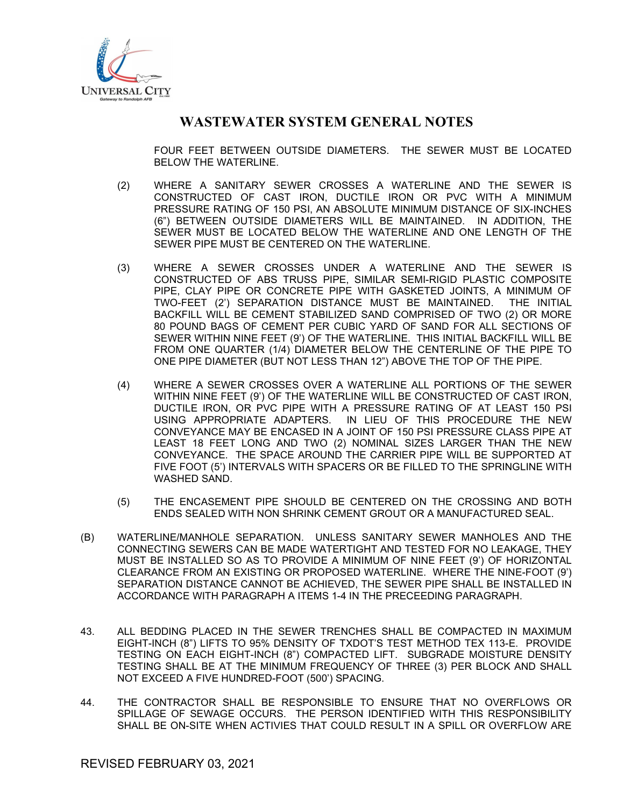

FOUR FEET BETWEEN OUTSIDE DIAMETERS. THE SEWER MUST BE LOCATED BELOW THE WATERLINE.

- (2) WHERE A SANITARY SEWER CROSSES A WATERLINE AND THE SEWER IS CONSTRUCTED OF CAST IRON, DUCTILE IRON OR PVC WITH A MINIMUM PRESSURE RATING OF 150 PSI, AN ABSOLUTE MINIMUM DISTANCE OF SIX-INCHES (6") BETWEEN OUTSIDE DIAMETERS WILL BE MAINTAINED. IN ADDITION, THE SEWER MUST BE LOCATED BELOW THE WATERLINE AND ONE LENGTH OF THE SEWER PIPE MUST BE CENTERED ON THE WATERLINE.
- (3) WHERE A SEWER CROSSES UNDER A WATERLINE AND THE SEWER IS CONSTRUCTED OF ABS TRUSS PIPE, SIMILAR SEMI-RIGID PLASTIC COMPOSITE PIPE, CLAY PIPE OR CONCRETE PIPE WITH GASKETED JOINTS, A MINIMUM OF TWO-FEET (2') SEPARATION DISTANCE MUST BE MAINTAINED. THE INITIAL BACKFILL WILL BE CEMENT STABILIZED SAND COMPRISED OF TWO (2) OR MORE 80 POUND BAGS OF CEMENT PER CUBIC YARD OF SAND FOR ALL SECTIONS OF SEWER WITHIN NINE FEET (9') OF THE WATERLINE. THIS INITIAL BACKFILL WILL BE FROM ONE QUARTER (1/4) DIAMETER BELOW THE CENTERLINE OF THE PIPE TO ONE PIPE DIAMETER (BUT NOT LESS THAN 12") ABOVE THE TOP OF THE PIPE.
- (4) WHERE A SEWER CROSSES OVER A WATERLINE ALL PORTIONS OF THE SEWER WITHIN NINE FEET (9') OF THE WATERLINE WILL BE CONSTRUCTED OF CAST IRON, DUCTILE IRON, OR PVC PIPE WITH A PRESSURE RATING OF AT LEAST 150 PSI USING APPROPRIATE ADAPTERS. IN LIEU OF THIS PROCEDURE THE NEW CONVEYANCE MAY BE ENCASED IN A JOINT OF 150 PSI PRESSURE CLASS PIPE AT LEAST 18 FEET LONG AND TWO (2) NOMINAL SIZES LARGER THAN THE NEW CONVEYANCE. THE SPACE AROUND THE CARRIER PIPE WILL BE SUPPORTED AT FIVE FOOT (5') INTERVALS WITH SPACERS OR BE FILLED TO THE SPRINGLINE WITH WASHED SAND.
- (5) THE ENCASEMENT PIPE SHOULD BE CENTERED ON THE CROSSING AND BOTH ENDS SEALED WITH NON SHRINK CEMENT GROUT OR A MANUFACTURED SEAL.
- (B) WATERLINE/MANHOLE SEPARATION. UNLESS SANITARY SEWER MANHOLES AND THE CONNECTING SEWERS CAN BE MADE WATERTIGHT AND TESTED FOR NO LEAKAGE, THEY MUST BE INSTALLED SO AS TO PROVIDE A MINIMUM OF NINE FEET (9') OF HORIZONTAL CLEARANCE FROM AN EXISTING OR PROPOSED WATERLINE. WHERE THE NINE-FOOT (9') SEPARATION DISTANCE CANNOT BE ACHIEVED, THE SEWER PIPE SHALL BE INSTALLED IN ACCORDANCE WITH PARAGRAPH A ITEMS 1-4 IN THE PRECEEDING PARAGRAPH.
- 43. ALL BEDDING PLACED IN THE SEWER TRENCHES SHALL BE COMPACTED IN MAXIMUM EIGHT-INCH (8") LIFTS TO 95% DENSITY OF TXDOT'S TEST METHOD TEX 113-E. PROVIDE TESTING ON EACH EIGHT-INCH (8") COMPACTED LIFT. SUBGRADE MOISTURE DENSITY TESTING SHALL BE AT THE MINIMUM FREQUENCY OF THREE (3) PER BLOCK AND SHALL NOT EXCEED A FIVE HUNDRED-FOOT (500') SPACING.
- 44. THE CONTRACTOR SHALL BE RESPONSIBLE TO ENSURE THAT NO OVERFLOWS OR SPILLAGE OF SEWAGE OCCURS. THE PERSON IDENTIFIED WITH THIS RESPONSIBILITY SHALL BE ON-SITE WHEN ACTIVIES THAT COULD RESULT IN A SPILL OR OVERFLOW ARE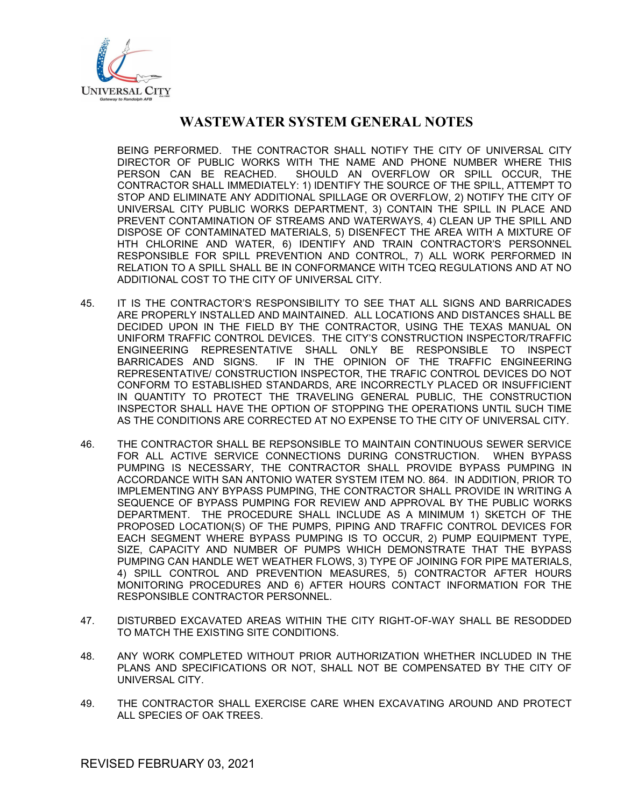

BEING PERFORMED. THE CONTRACTOR SHALL NOTIFY THE CITY OF UNIVERSAL CITY DIRECTOR OF PUBLIC WORKS WITH THE NAME AND PHONE NUMBER WHERE THIS PERSON CAN BE REACHED. SHOULD AN OVERFLOW OR SPILL OCCUR, THE CONTRACTOR SHALL IMMEDIATELY: 1) IDENTIFY THE SOURCE OF THE SPILL, ATTEMPT TO STOP AND ELIMINATE ANY ADDITIONAL SPILLAGE OR OVERFLOW, 2) NOTIFY THE CITY OF UNIVERSAL CITY PUBLIC WORKS DEPARTMENT, 3) CONTAIN THE SPILL IN PLACE AND PREVENT CONTAMINATION OF STREAMS AND WATERWAYS, 4) CLEAN UP THE SPILL AND DISPOSE OF CONTAMINATED MATERIALS, 5) DISENFECT THE AREA WITH A MIXTURE OF HTH CHLORINE AND WATER, 6) IDENTIFY AND TRAIN CONTRACTOR'S PERSONNEL RESPONSIBLE FOR SPILL PREVENTION AND CONTROL, 7) ALL WORK PERFORMED IN RELATION TO A SPILL SHALL BE IN CONFORMANCE WITH TCEQ REGULATIONS AND AT NO ADDITIONAL COST TO THE CITY OF UNIVERSAL CITY.

- 45. IT IS THE CONTRACTOR'S RESPONSIBILITY TO SEE THAT ALL SIGNS AND BARRICADES ARE PROPERLY INSTALLED AND MAINTAINED. ALL LOCATIONS AND DISTANCES SHALL BE DECIDED UPON IN THE FIELD BY THE CONTRACTOR, USING THE TEXAS MANUAL ON UNIFORM TRAFFIC CONTROL DEVICES. THE CITY'S CONSTRUCTION INSPECTOR/TRAFFIC ENGINEERING REPRESENTATIVE SHALL ONLY BE RESPONSIBLE TO INSPECT BARRICADES AND SIGNS. IF IN THE OPINION OF THE TRAFFIC ENGINEERING REPRESENTATIVE/ CONSTRUCTION INSPECTOR, THE TRAFIC CONTROL DEVICES DO NOT CONFORM TO ESTABLISHED STANDARDS, ARE INCORRECTLY PLACED OR INSUFFICIENT IN QUANTITY TO PROTECT THE TRAVELING GENERAL PUBLIC, THE CONSTRUCTION INSPECTOR SHALL HAVE THE OPTION OF STOPPING THE OPERATIONS UNTIL SUCH TIME AS THE CONDITIONS ARE CORRECTED AT NO EXPENSE TO THE CITY OF UNIVERSAL CITY.
- 46. THE CONTRACTOR SHALL BE REPSONSIBLE TO MAINTAIN CONTINUOUS SEWER SERVICE FOR ALL ACTIVE SERVICE CONNECTIONS DURING CONSTRUCTION. WHEN BYPASS PUMPING IS NECESSARY, THE CONTRACTOR SHALL PROVIDE BYPASS PUMPING IN ACCORDANCE WITH SAN ANTONIO WATER SYSTEM ITEM NO. 864. IN ADDITION, PRIOR TO IMPLEMENTING ANY BYPASS PUMPING, THE CONTRACTOR SHALL PROVIDE IN WRITING A SEQUENCE OF BYPASS PUMPING FOR REVIEW AND APPROVAL BY THE PUBLIC WORKS DEPARTMENT. THE PROCEDURE SHALL INCLUDE AS A MINIMUM 1) SKETCH OF THE PROPOSED LOCATION(S) OF THE PUMPS, PIPING AND TRAFFIC CONTROL DEVICES FOR EACH SEGMENT WHERE BYPASS PUMPING IS TO OCCUR, 2) PUMP EQUIPMENT TYPE, SIZE, CAPACITY AND NUMBER OF PUMPS WHICH DEMONSTRATE THAT THE BYPASS PUMPING CAN HANDLE WET WEATHER FLOWS, 3) TYPE OF JOINING FOR PIPE MATERIALS, 4) SPILL CONTROL AND PREVENTION MEASURES, 5) CONTRACTOR AFTER HOURS MONITORING PROCEDURES AND 6) AFTER HOURS CONTACT INFORMATION FOR THE RESPONSIBLE CONTRACTOR PERSONNEL.
- 47. DISTURBED EXCAVATED AREAS WITHIN THE CITY RIGHT-OF-WAY SHALL BE RESODDED TO MATCH THE EXISTING SITE CONDITIONS.
- 48. ANY WORK COMPLETED WITHOUT PRIOR AUTHORIZATION WHETHER INCLUDED IN THE PLANS AND SPECIFICATIONS OR NOT, SHALL NOT BE COMPENSATED BY THE CITY OF UNIVERSAL CITY.
- 49. THE CONTRACTOR SHALL EXERCISE CARE WHEN EXCAVATING AROUND AND PROTECT ALL SPECIES OF OAK TREES.